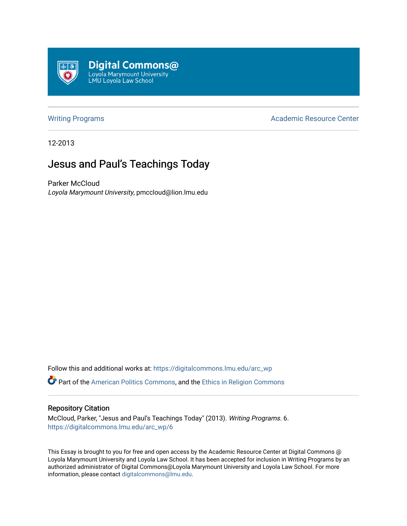

[Writing Programs](https://digitalcommons.lmu.edu/arc_wp) **Academic Resource Center** Academic Resource Center

12-2013

# Jesus and Paul's Teachings Today

Parker McCloud Loyola Marymount University, pmccloud@lion.lmu.edu

Follow this and additional works at: [https://digitalcommons.lmu.edu/arc\\_wp](https://digitalcommons.lmu.edu/arc_wp?utm_source=digitalcommons.lmu.edu%2Farc_wp%2F6&utm_medium=PDF&utm_campaign=PDFCoverPages)

Part of the [American Politics Commons,](http://network.bepress.com/hgg/discipline/387?utm_source=digitalcommons.lmu.edu%2Farc_wp%2F6&utm_medium=PDF&utm_campaign=PDFCoverPages) and the [Ethics in Religion Commons](http://network.bepress.com/hgg/discipline/541?utm_source=digitalcommons.lmu.edu%2Farc_wp%2F6&utm_medium=PDF&utm_campaign=PDFCoverPages)

#### Repository Citation

McCloud, Parker, "Jesus and Paul's Teachings Today" (2013). Writing Programs. 6. [https://digitalcommons.lmu.edu/arc\\_wp/6](https://digitalcommons.lmu.edu/arc_wp/6?utm_source=digitalcommons.lmu.edu%2Farc_wp%2F6&utm_medium=PDF&utm_campaign=PDFCoverPages)

This Essay is brought to you for free and open access by the Academic Resource Center at Digital Commons @ Loyola Marymount University and Loyola Law School. It has been accepted for inclusion in Writing Programs by an authorized administrator of Digital Commons@Loyola Marymount University and Loyola Law School. For more information, please contact [digitalcommons@lmu.edu.](mailto:digitalcommons@lmu.edu)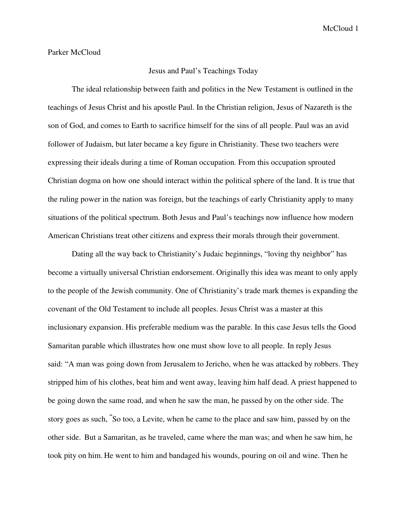#### Parker McCloud

### Jesus and Paul's Teachings Today

 The ideal relationship between faith and politics in the New Testament is outlined in the teachings of Jesus Christ and his apostle Paul. In the Christian religion, Jesus of Nazareth is the son of God, and comes to Earth to sacrifice himself for the sins of all people. Paul was an avid follower of Judaism, but later became a key figure in Christianity. These two teachers were expressing their ideals during a time of Roman occupation. From this occupation sprouted Christian dogma on how one should interact within the political sphere of the land. It is true that the ruling power in the nation was foreign, but the teachings of early Christianity apply to many situations of the political spectrum. Both Jesus and Paul's teachings now influence how modern American Christians treat other citizens and express their morals through their government.

 Dating all the way back to Christianity's Judaic beginnings, "loving thy neighbor" has become a virtually universal Christian endorsement. Originally this idea was meant to only apply to the people of the Jewish community. One of Christianity's trade mark themes is expanding the covenant of the Old Testament to include all peoples. Jesus Christ was a master at this inclusionary expansion. His preferable medium was the parable. In this case Jesus tells the Good Samaritan parable which illustrates how one must show love to all people. In reply Jesus said: "A man was going down from Jerusalem to Jericho, when he was attacked by robbers. They stripped him of his clothes, beat him and went away, leaving him half dead. A priest happened to be going down the same road, and when he saw the man, he passed by on the other side. The story goes as such, **"** So too, a Levite, when he came to the place and saw him, passed by on the other side. But a Samaritan, as he traveled, came where the man was; and when he saw him, he took pity on him. He went to him and bandaged his wounds, pouring on oil and wine. Then he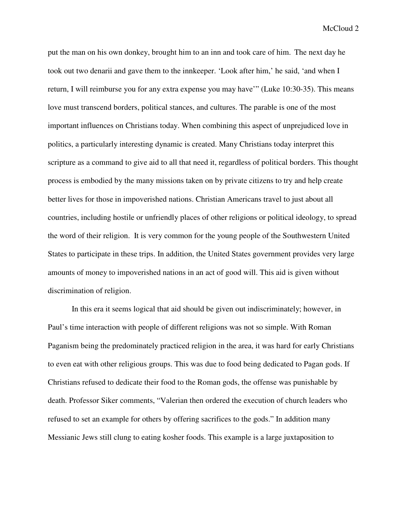put the man on his own donkey, brought him to an inn and took care of him. The next day he took out two denarii and gave them to the innkeeper. 'Look after him,' he said, 'and when I return, I will reimburse you for any extra expense you may have'" (Luke 10:30-35). This means love must transcend borders, political stances, and cultures. The parable is one of the most important influences on Christians today. When combining this aspect of unprejudiced love in politics, a particularly interesting dynamic is created. Many Christians today interpret this scripture as a command to give aid to all that need it, regardless of political borders. This thought process is embodied by the many missions taken on by private citizens to try and help create better lives for those in impoverished nations. Christian Americans travel to just about all countries, including hostile or unfriendly places of other religions or political ideology, to spread the word of their religion. It is very common for the young people of the Southwestern United States to participate in these trips. In addition, the United States government provides very large amounts of money to impoverished nations in an act of good will. This aid is given without discrimination of religion.

In this era it seems logical that aid should be given out indiscriminately; however, in Paul's time interaction with people of different religions was not so simple. With Roman Paganism being the predominately practiced religion in the area, it was hard for early Christians to even eat with other religious groups. This was due to food being dedicated to Pagan gods. If Christians refused to dedicate their food to the Roman gods, the offense was punishable by death. Professor Siker comments, "Valerian then ordered the execution of church leaders who refused to set an example for others by offering sacrifices to the gods." In addition many Messianic Jews still clung to eating kosher foods. This example is a large juxtaposition to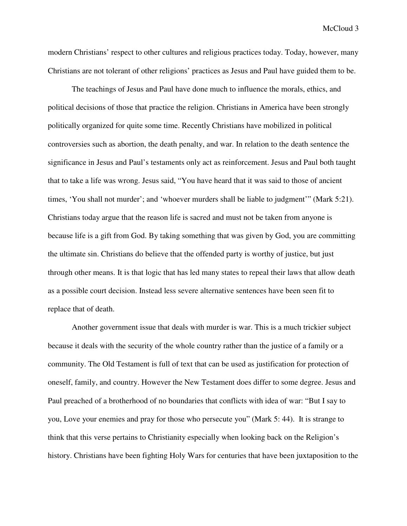modern Christians' respect to other cultures and religious practices today. Today, however, many Christians are not tolerant of other religions' practices as Jesus and Paul have guided them to be.

 The teachings of Jesus and Paul have done much to influence the morals, ethics, and political decisions of those that practice the religion. Christians in America have been strongly politically organized for quite some time. Recently Christians have mobilized in political controversies such as abortion, the death penalty, and war. In relation to the death sentence the significance in Jesus and Paul's testaments only act as reinforcement. Jesus and Paul both taught that to take a life was wrong. Jesus said, "You have heard that it was said to those of ancient times, 'You shall not murder'; and 'whoever murders shall be liable to judgment'" (Mark 5:21). Christians today argue that the reason life is sacred and must not be taken from anyone is because life is a gift from God. By taking something that was given by God, you are committing the ultimate sin. Christians do believe that the offended party is worthy of justice, but just through other means. It is that logic that has led many states to repeal their laws that allow death as a possible court decision. Instead less severe alternative sentences have been seen fit to replace that of death.

Another government issue that deals with murder is war. This is a much trickier subject because it deals with the security of the whole country rather than the justice of a family or a community. The Old Testament is full of text that can be used as justification for protection of oneself, family, and country. However the New Testament does differ to some degree. Jesus and Paul preached of a brotherhood of no boundaries that conflicts with idea of war: "But I say to you, Love your enemies and pray for those who persecute you" (Mark 5: 44). It is strange to think that this verse pertains to Christianity especially when looking back on the Religion's history. Christians have been fighting Holy Wars for centuries that have been juxtaposition to the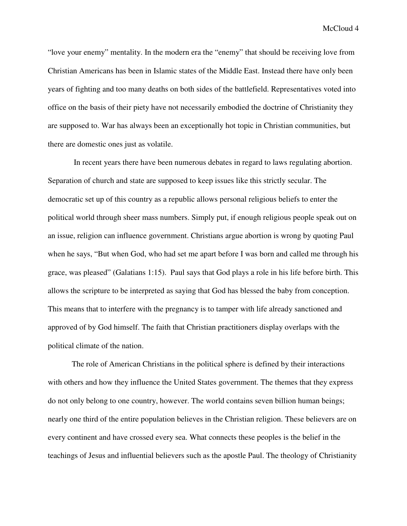McCloud 4

"love your enemy" mentality. In the modern era the "enemy" that should be receiving love from Christian Americans has been in Islamic states of the Middle East. Instead there have only been years of fighting and too many deaths on both sides of the battlefield. Representatives voted into office on the basis of their piety have not necessarily embodied the doctrine of Christianity they are supposed to. War has always been an exceptionally hot topic in Christian communities, but there are domestic ones just as volatile.

 In recent years there have been numerous debates in regard to laws regulating abortion. Separation of church and state are supposed to keep issues like this strictly secular. The democratic set up of this country as a republic allows personal religious beliefs to enter the political world through sheer mass numbers. Simply put, if enough religious people speak out on an issue, religion can influence government. Christians argue abortion is wrong by quoting Paul when he says, "But when God, who had set me apart before I was born and called me through his grace, was pleased" (Galatians 1:15). Paul says that God plays a role in his life before birth. This allows the scripture to be interpreted as saying that God has blessed the baby from conception. This means that to interfere with the pregnancy is to tamper with life already sanctioned and approved of by God himself. The faith that Christian practitioners display overlaps with the political climate of the nation.

 The role of American Christians in the political sphere is defined by their interactions with others and how they influence the United States government. The themes that they express do not only belong to one country, however. The world contains seven billion human beings; nearly one third of the entire population believes in the Christian religion. These believers are on every continent and have crossed every sea. What connects these peoples is the belief in the teachings of Jesus and influential believers such as the apostle Paul. The theology of Christianity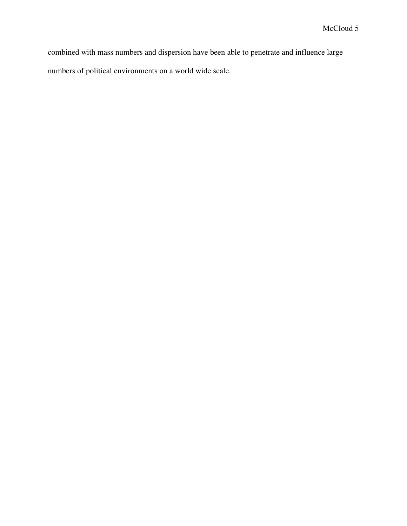combined with mass numbers and dispersion have been able to penetrate and influence large numbers of political environments on a world wide scale.